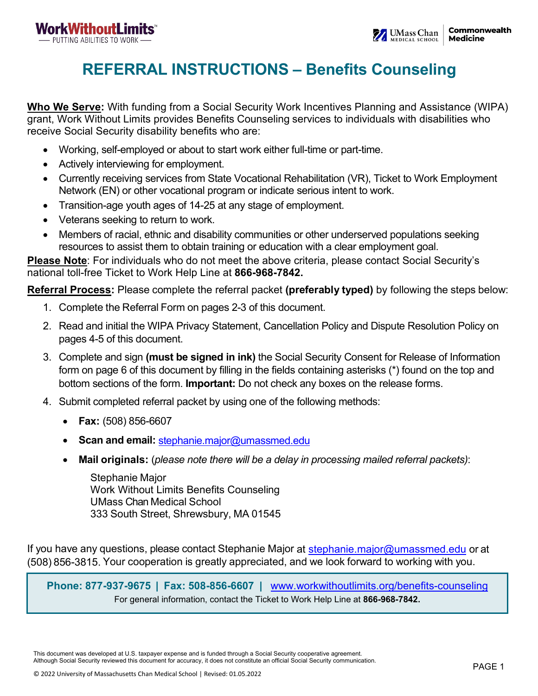# **REFERRAL INSTRUCTIONS – Benefits Counseling**

**Who We Serve:** With funding from a Social Security Work Incentives Planning and Assistance (WIPA) grant, Work Without Limits provides Benefits Counseling services to individuals with disabilities who receive Social Security disability benefits who are:

- Working, self-employed or about to start work either full-time or part-time.
- Actively interviewing for employment.
- Currently receiving services from State Vocational Rehabilitation (VR), Ticket to Work Employment Network (EN) or other vocational program or indicate serious intent to work.
- Transition-age youth ages of 14-25 at any stage of employment.
- Veterans seeking to return to work.
- Members of racial, ethnic and disability communities or other underserved populations seeking resources to assist them to obtain training or education with a clear employment goal.

**Please Note**: For individuals who do not meet the above criteria, please contact Social Security's national toll-free Ticket to Work Help Line at **866-968-7842.**

**Referral Process:** Please complete the referral packet **(preferably typed)** by following the steps below:

- 1. Complete the Referral Form on pages 2-3 of this document.
- 2. Read and initial the WIPA Privacy Statement, Cancellation Policy and Dispute Resolution Policy on pages 4-5 of this document.
- 3. Complete and sign **(must be signed in ink)** the Social Security Consent for Release of Information form on page 6 of this document by filling in the fields containing asterisks (\*) found on the top and bottom sections of the form. **Important:** Do not check any boxes on the release forms.
- 4. Submit completed referral packet by using one of the following methods:
	- **Fax:** (508) 856-6607
	- **Scan and email:** [stephanie.major@umassmed.edu](mailto:stephanie.major@umassmed.edu)
	- **Mail originals:** (*please note there will be a delay in processing mailed referral packets)*:

Stephanie Major Work Without Limits Benefits Counseling UMass Chan Medical School 333 South Street, Shrewsbury, MA 01545

If you have any questions, please contact Stephanie Major at stephanie major@umassmed.edu or at (508) 856-3815. Your cooperation is greatly appreciated, and we look forward to working with you.

**Phone: 877-937-9675 | Fax: 508-856-6607 |** [www.workwithoutlimits.org/benefits-counseling](https://workwithoutlimits.org/benefits-counseling/) For general information, contact the Ticket to Work Help Line at **866-968-7842.**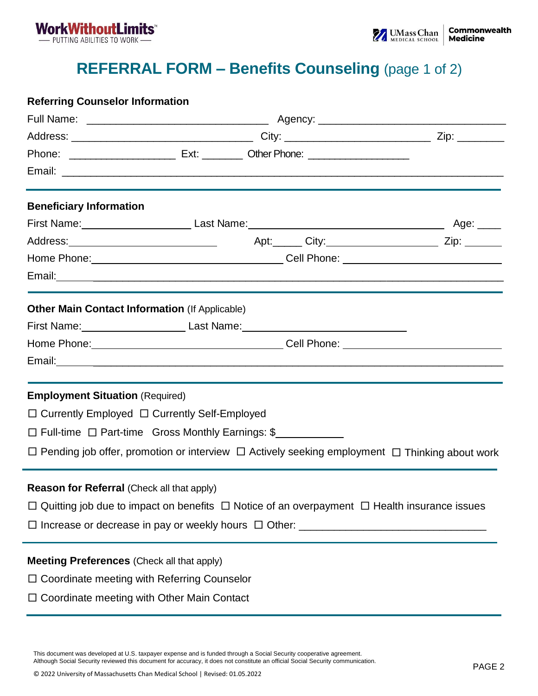

# **REFERRAL FORM – Benefits Counseling** (page 1 of 2)

### **Referring Counselor Information**

| <b>Beneficiary Information</b>                                                                               |  |  |  |                                                                                                                |  |
|--------------------------------------------------------------------------------------------------------------|--|--|--|----------------------------------------------------------------------------------------------------------------|--|
|                                                                                                              |  |  |  |                                                                                                                |  |
|                                                                                                              |  |  |  |                                                                                                                |  |
|                                                                                                              |  |  |  |                                                                                                                |  |
|                                                                                                              |  |  |  |                                                                                                                |  |
| <b>Other Main Contact Information (If Applicable)</b>                                                        |  |  |  |                                                                                                                |  |
| First Name: _____________________________Last Name: ____________________________                             |  |  |  |                                                                                                                |  |
|                                                                                                              |  |  |  |                                                                                                                |  |
|                                                                                                              |  |  |  |                                                                                                                |  |
| <b>Employment Situation (Required)</b>                                                                       |  |  |  |                                                                                                                |  |
| □ Currently Employed □ Currently Self-Employed                                                               |  |  |  |                                                                                                                |  |
| □ Full-time □ Part-time Gross Monthly Earnings: \$                                                           |  |  |  |                                                                                                                |  |
|                                                                                                              |  |  |  | $\Box$ Pending job offer, promotion or interview $\Box$ Actively seeking employment $\Box$ Thinking about work |  |
| <b>Reason for Referral (Check all that apply)</b>                                                            |  |  |  |                                                                                                                |  |
| $\Box$ Quitting job due to impact on benefits $\Box$ Notice of an overpayment $\Box$ Health insurance issues |  |  |  |                                                                                                                |  |
|                                                                                                              |  |  |  |                                                                                                                |  |
| <b>Meeting Preferences (Check all that apply)</b>                                                            |  |  |  |                                                                                                                |  |
| $\Box$ Coordinate meeting with Referring Counselor                                                           |  |  |  |                                                                                                                |  |
| Coordinate meeting with Other Main Contact                                                                   |  |  |  |                                                                                                                |  |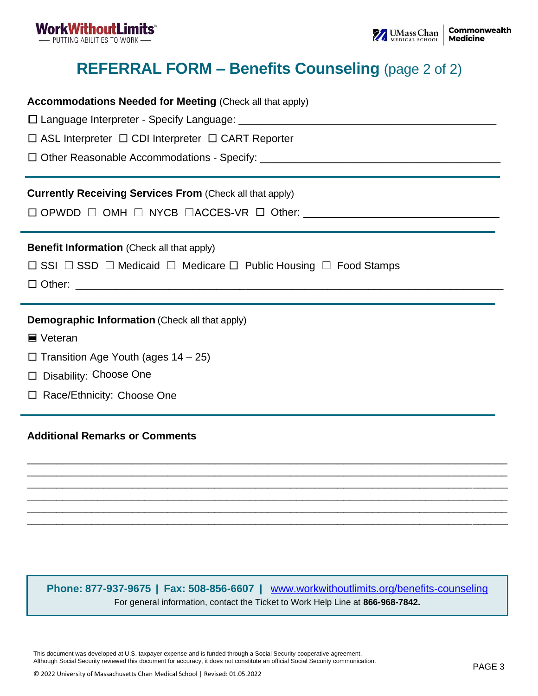

**Accommodations Needed for Meeting** (Check all that apply)

# **REFERRAL FORM – Benefits Counseling** (page 2 of 2)

| $\Box$ ASL Interpreter $\Box$ CDI Interpreter $\Box$ CART Reporter                                                                                  |  |  |  |  |
|-----------------------------------------------------------------------------------------------------------------------------------------------------|--|--|--|--|
|                                                                                                                                                     |  |  |  |  |
| <b>Currently Receiving Services From (Check all that apply)</b>                                                                                     |  |  |  |  |
| <b>Benefit Information</b> (Check all that apply)<br>$\Box$ SSI $\Box$ SSD $\Box$ Medicaid $\Box$ Medicare $\Box$ Public Housing $\Box$ Food Stamps |  |  |  |  |
|                                                                                                                                                     |  |  |  |  |
| <b>Demographic Information</b> (Check all that apply)                                                                                               |  |  |  |  |
| ■ Veteran                                                                                                                                           |  |  |  |  |
| $\Box$ Transition Age Youth (ages 14 – 25)                                                                                                          |  |  |  |  |

- □ Disability: Choose One
- □ Race/Ethnicity: Choose One

### **Additional Remarks or Comments**

**Phone: 877-937-9675 | Fax: 508-856-6607 |** [www.workwithoutlimits.org/benefits-counseling](https://workwithoutlimits.org/benefits-counseling/) For general information, contact the Ticket to Work Help Line at **866-968-7842.**

\_\_\_\_\_\_\_\_\_\_\_\_\_\_\_\_\_\_\_\_\_\_\_\_\_\_\_\_\_\_\_\_\_\_\_\_\_\_\_\_\_\_\_\_\_\_\_\_\_\_\_\_\_\_\_\_\_\_\_\_\_\_\_\_\_\_\_\_\_\_\_\_\_\_\_\_\_\_\_\_\_\_ \_\_\_\_\_\_\_\_\_\_\_\_\_\_\_\_\_\_\_\_\_\_\_\_\_\_\_\_\_\_\_\_\_\_\_\_\_\_\_\_\_\_\_\_\_\_\_\_\_\_\_\_\_\_\_\_\_\_\_\_\_\_\_\_\_\_\_\_\_\_\_\_\_\_\_\_\_\_\_\_\_\_ \_\_\_\_\_\_\_\_\_\_\_\_\_\_\_\_\_\_\_\_\_\_\_\_\_\_\_\_\_\_\_\_\_\_\_\_\_\_\_\_\_\_\_\_\_\_\_\_\_\_\_\_\_\_\_\_\_\_\_\_\_\_\_\_\_\_\_\_\_\_\_\_\_\_\_\_\_\_\_\_\_\_ \_\_\_\_\_\_\_\_\_\_\_\_\_\_\_\_\_\_\_\_\_\_\_\_\_\_\_\_\_\_\_\_\_\_\_\_\_\_\_\_\_\_\_\_\_\_\_\_\_\_\_\_\_\_\_\_\_\_\_\_\_\_\_\_\_\_\_\_\_\_\_\_\_\_\_\_\_\_\_\_\_\_ \_\_\_\_\_\_\_\_\_\_\_\_\_\_\_\_\_\_\_\_\_\_\_\_\_\_\_\_\_\_\_\_\_\_\_\_\_\_\_\_\_\_\_\_\_\_\_\_\_\_\_\_\_\_\_\_\_\_\_\_\_\_\_\_\_\_\_\_\_\_\_\_\_\_\_\_\_\_\_\_\_\_ \_\_\_\_\_\_\_\_\_\_\_\_\_\_\_\_\_\_\_\_\_\_\_\_\_\_\_\_\_\_\_\_\_\_\_\_\_\_\_\_\_\_\_\_\_\_\_\_\_\_\_\_\_\_\_\_\_\_\_\_\_\_\_\_\_\_\_\_\_\_\_\_\_\_\_\_\_\_\_\_\_\_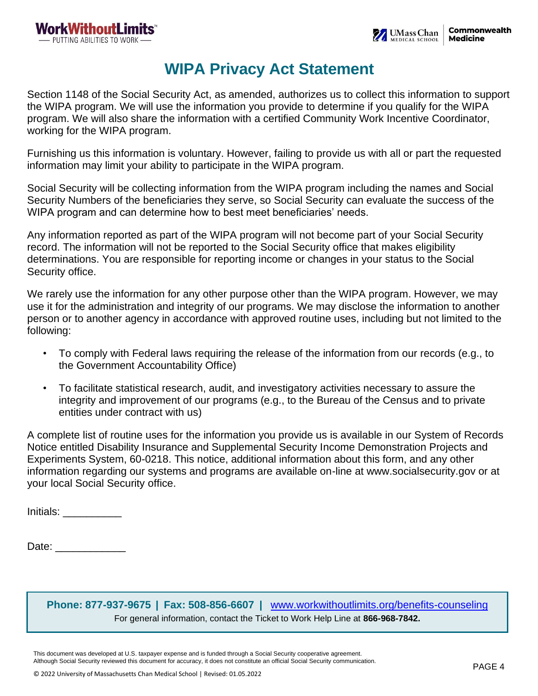## **WIPA Privacy Act Statement**

Section 1148 of the Social Security Act, as amended, authorizes us to collect this information to support the WIPA program. We will use the information you provide to determine if you qualify for the WIPA program. We will also share the information with a certified Community Work Incentive Coordinator, working for the WIPA program.

Furnishing us this information is voluntary. However, failing to provide us with all or part the requested information may limit your ability to participate in the WIPA program.

Social Security will be collecting information from the WIPA program including the names and Social Security Numbers of the beneficiaries they serve, so Social Security can evaluate the success of the WIPA program and can determine how to best meet beneficiaries' needs.

Any information reported as part of the WIPA program will not become part of your Social Security record. The information will not be reported to the Social Security office that makes eligibility determinations. You are responsible for reporting income or changes in your status to the Social Security office.

We rarely use the information for any other purpose other than the WIPA program. However, we may use it for the administration and integrity of our programs. We may disclose the information to another person or to another agency in accordance with approved routine uses, including but not limited to the following:

- To comply with Federal laws requiring the release of the information from our records (e.g., to the Government Accountability Office)
- To facilitate statistical research, audit, and investigatory activities necessary to assure the integrity and improvement of our programs (e.g., to the Bureau of the Census and to private entities under contract with us)

A complete list of routine uses for the information you provide us is available in our System of Records Notice entitled Disability Insurance and Supplemental Security Income Demonstration Projects and Experiments System, 60-0218. This notice, additional information about this form, and any other information regarding our systems and programs are available on-line at www.socialsecurity.gov or at your local Social Security office.

Initials: \_\_\_\_\_\_\_\_\_\_

Date: \_\_\_\_\_\_\_\_\_\_\_\_

**Phone: 877-937-9675 | Fax: 508-856-6607 |** [www.workwithoutlimits.org/benefits-counseling](https://workwithoutlimits.org/benefits-counseling/) For general information, contact the Ticket to Work Help Line at **866-968-7842.**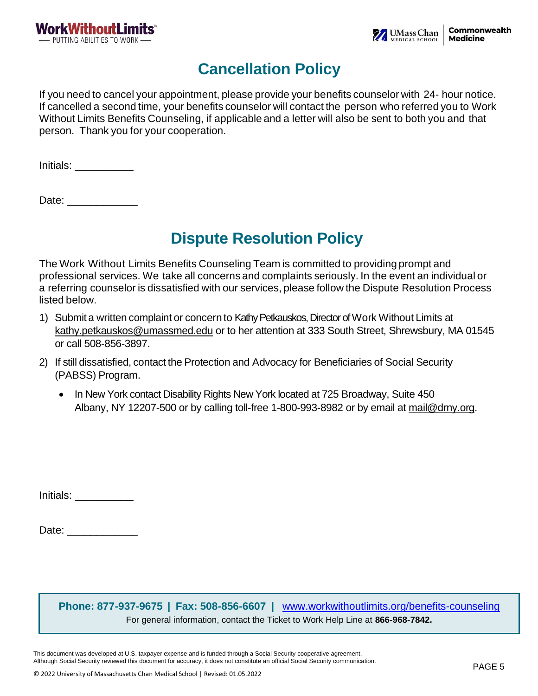

# **Cancellation Policy**

If you need to cancel your appointment, please provide your benefits counselor with 24- hour notice. If cancelled a second time, your benefits counselor will contact the person who referred you to Work Without Limits Benefits Counseling, if applicable and a letter will also be sent to both you and that person. Thank you for your cooperation.

Initials: \_\_\_\_\_\_\_\_\_\_

Date:

# **Dispute Resolution Policy**

The Work Without Limits Benefits Counseling Team is committed to providing prompt and professional services. We take all concerns and complaints seriously. In the event an individual or a referring counselor is dissatisfied with our services, please follow the Dispute Resolution Process listed below.

- 1) Submit a written complaint or concern to Kathy Petkauskos, Director of Work Without Limits at [kathy.petkauskos@umassmed.edu](mailto:kathy.petkauskos@umassmed.edu) or to her attention at 333 South Street, Shrewsbury, MA 01545 or call 508-856-3897.
- 2) If still dissatisfied, contact the Protection and Advocacy for Beneficiaries of Social Security (PABSS) Program.
	- In New York contact Disability Rights New York located at 725 Broadway, Suite 450 Albany, NY 12207-500 or by calling toll-free 1-800-993-8982 or by email at [mail@drny.org.](mailto:mail@drny.org)

Initials: \_\_\_\_\_\_\_\_\_\_

Date:  $\Box$ 

**Phone: 877-937-9675 | Fax: 508-856-6607 |** [www.workwithoutlimits.org/benefits-counseling](https://workwithoutlimits.org/benefits-counseling/) For general information, contact the Ticket to Work Help Line at **866-968-7842.**